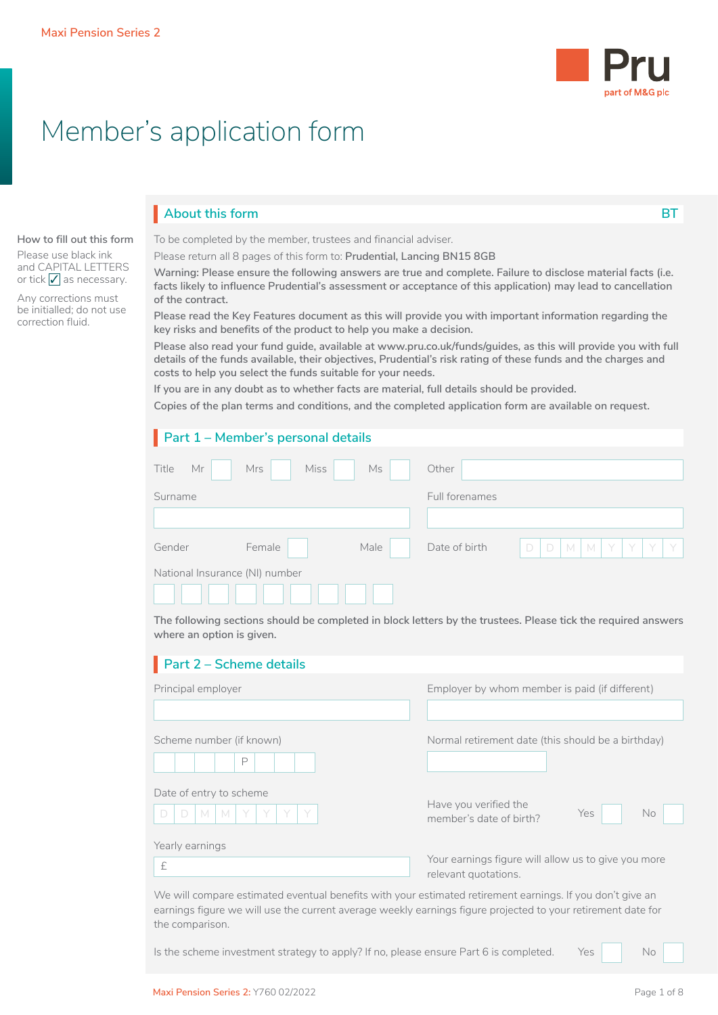

# Member's application form

# **About this form BT**

#### **How to fill out this form** Please use black ink and CAPITAL LETTERS or tick  $\sqrt{\ }$  as necessary.

Any corrections must be initialled; do not use correction fluid.

To be completed by the member, trustees and financial adviser.

Please return all 8 pages of this form to: **Prudential, Lancing BN15 8GB**

**Warning: Please ensure the following answers are true and complete. Failure to disclose material facts (i.e. facts likely to influence Prudential's assessment or acceptance of this application) may lead to cancellation of the contract.**

**Please read the Key Features document as this will provide you with important information regarding the key risks and benefits of the product to help you make a decision.**

**Please also read your fund guide, available at www.pru.co.uk/funds/guides, as this will provide you with full details of the funds available, their objectives, Prudential's risk rating of these funds and the charges and costs to help you select the funds suitable for your needs.**

**If you are in any doubt as to whether facts are material, full details should be provided.**

**Copies of the plan terms and conditions, and the completed application form are available on request.**

|                                | Part 1 - Member's personal details |      |                |             |                     |  |  |
|--------------------------------|------------------------------------|------|----------------|-------------|---------------------|--|--|
| Title<br>Mr                    | Miss<br>Mrs                        | Ms   | Other          |             |                     |  |  |
| Surname                        |                                    |      | Full forenames |             |                     |  |  |
|                                |                                    |      |                |             |                     |  |  |
| Gender                         | Female                             | Male | Date of birth  | $\Box$<br>D | $M$ $M$ $Y$ $Y$ $Y$ |  |  |
| National Insurance (NI) number |                                    |      |                |             |                     |  |  |
|                                |                                    |      |                |             |                     |  |  |

**The following sections should be completed in block letters by the trustees. Please tick the required answers where an option is given.**

| Part 2 - Scheme details                                                                                   |                                                                             |
|-----------------------------------------------------------------------------------------------------------|-----------------------------------------------------------------------------|
| Principal employer                                                                                        | Employer by whom member is paid (if different)                              |
| Scheme number (if known)<br>P                                                                             | Normal retirement date (this should be a birthday)                          |
| Date of entry to scheme<br>Y<br>D<br>M<br>M<br>D                                                          | Have you verified the<br>Yes<br>No<br>member's date of birth?               |
| Yearly earnings<br>£                                                                                      | Your earnings figure will allow us to give you more<br>relevant quotations. |
| We will compare estimated eventual benefits with your estimated retirement earnings. If you don't give an |                                                                             |

earnings figure we will use the current average weekly earnings figure projected to your retirement date for the comparison.

Is the scheme investment strategy to apply? If no, please ensure Part 6 is completed. Yes  $\vert$  No

 $\Box$  No  $\Box$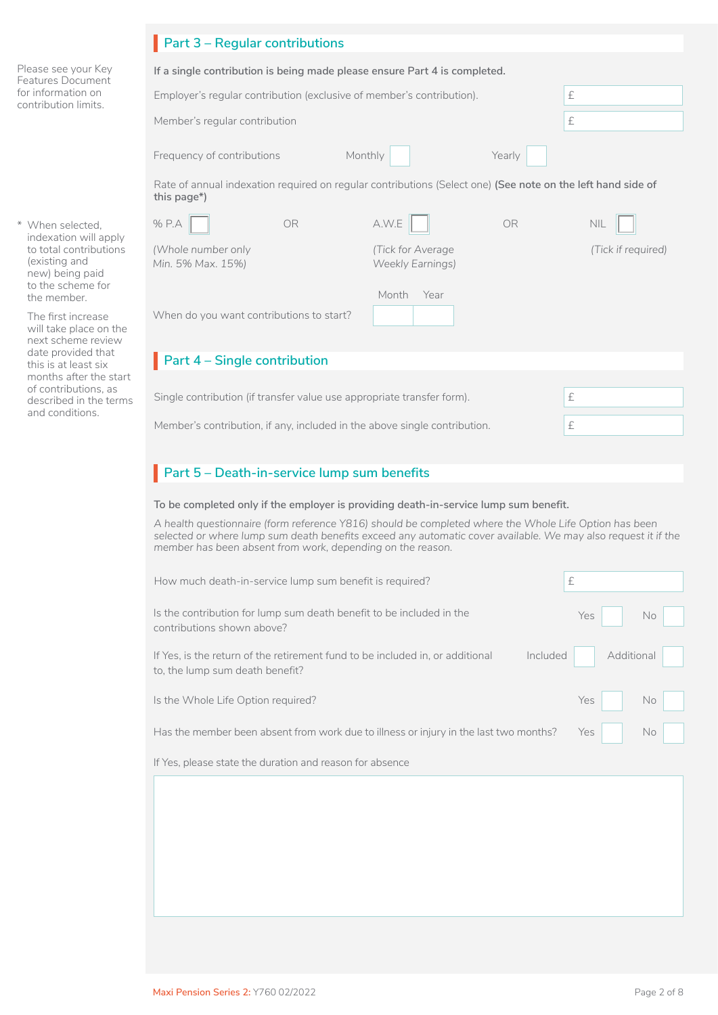|                                                                                                          | Part 3 - Regular contributions                                                                                                                                                                                                                                                                                                                                |                                              |           |                    |
|----------------------------------------------------------------------------------------------------------|---------------------------------------------------------------------------------------------------------------------------------------------------------------------------------------------------------------------------------------------------------------------------------------------------------------------------------------------------------------|----------------------------------------------|-----------|--------------------|
| Please see your Key<br><b>Features Document</b>                                                          | If a single contribution is being made please ensure Part 4 is completed.                                                                                                                                                                                                                                                                                     |                                              |           |                    |
| for information on<br>contribution limits.                                                               | Employer's regular contribution (exclusive of member's contribution).                                                                                                                                                                                                                                                                                         |                                              |           | £                  |
|                                                                                                          | Member's regular contribution                                                                                                                                                                                                                                                                                                                                 |                                              |           | $\pounds$          |
|                                                                                                          | Monthly<br>Frequency of contributions                                                                                                                                                                                                                                                                                                                         |                                              | Yearly    |                    |
|                                                                                                          | Rate of annual indexation required on regular contributions (Select one) (See note on the left hand side of<br>this page*)                                                                                                                                                                                                                                    |                                              |           |                    |
| * When selected,                                                                                         | % P.A<br>OR.                                                                                                                                                                                                                                                                                                                                                  | A.W.E                                        | <b>OR</b> | <b>NIL</b>         |
| indexation will apply<br>to total contributions<br>(existing and<br>new) being paid<br>to the scheme for | (Whole number only<br>Min. 5% Max. 15%)                                                                                                                                                                                                                                                                                                                       | (Tick for Average<br><b>Weekly Earnings)</b> |           | (Tick if required) |
| the member.                                                                                              |                                                                                                                                                                                                                                                                                                                                                               | Month Year                                   |           |                    |
| The first increase<br>will take place on the<br>next scheme review                                       | When do you want contributions to start?                                                                                                                                                                                                                                                                                                                      |                                              |           |                    |
| date provided that<br>this is at least six                                                               | Part 4 - Single contribution                                                                                                                                                                                                                                                                                                                                  |                                              |           |                    |
| months after the start<br>of contributions, as<br>described in the terms                                 | Single contribution (if transfer value use appropriate transfer form).                                                                                                                                                                                                                                                                                        |                                              |           | £                  |
| and conditions.                                                                                          | Member's contribution, if any, included in the above single contribution.                                                                                                                                                                                                                                                                                     |                                              |           | £                  |
|                                                                                                          | Part 5 - Death-in-service lump sum benefits<br>To be completed only if the employer is providing death-in-service lump sum benefit.<br>A health questionnaire (form reference Y816) should be completed where the Whole Life Option has been<br>selected or where lump sum death benefits exceed any automatic cover available. We may also request it if the |                                              |           |                    |
|                                                                                                          | member has been absent from work, depending on the reason.                                                                                                                                                                                                                                                                                                    |                                              |           |                    |
|                                                                                                          | How much death-in-service lump sum benefit is required?                                                                                                                                                                                                                                                                                                       |                                              |           | £                  |
|                                                                                                          | Is the contribution for lump sum death benefit to be included in the<br>contributions shown above?                                                                                                                                                                                                                                                            |                                              |           | Yes<br>No          |
|                                                                                                          | If Yes, is the return of the retirement fund to be included in, or additional<br>to, the lump sum death benefit?                                                                                                                                                                                                                                              |                                              | Included  | Additional         |
|                                                                                                          | Is the Whole Life Option required?                                                                                                                                                                                                                                                                                                                            |                                              |           | No<br>Yes          |
|                                                                                                          | Has the member been absent from work due to illness or injury in the last two months?                                                                                                                                                                                                                                                                         |                                              |           | Yes<br>No          |
|                                                                                                          | If Yes, please state the duration and reason for absence                                                                                                                                                                                                                                                                                                      |                                              |           |                    |
|                                                                                                          |                                                                                                                                                                                                                                                                                                                                                               |                                              |           |                    |
|                                                                                                          |                                                                                                                                                                                                                                                                                                                                                               |                                              |           |                    |
|                                                                                                          |                                                                                                                                                                                                                                                                                                                                                               |                                              |           |                    |
|                                                                                                          |                                                                                                                                                                                                                                                                                                                                                               |                                              |           |                    |
|                                                                                                          |                                                                                                                                                                                                                                                                                                                                                               |                                              |           |                    |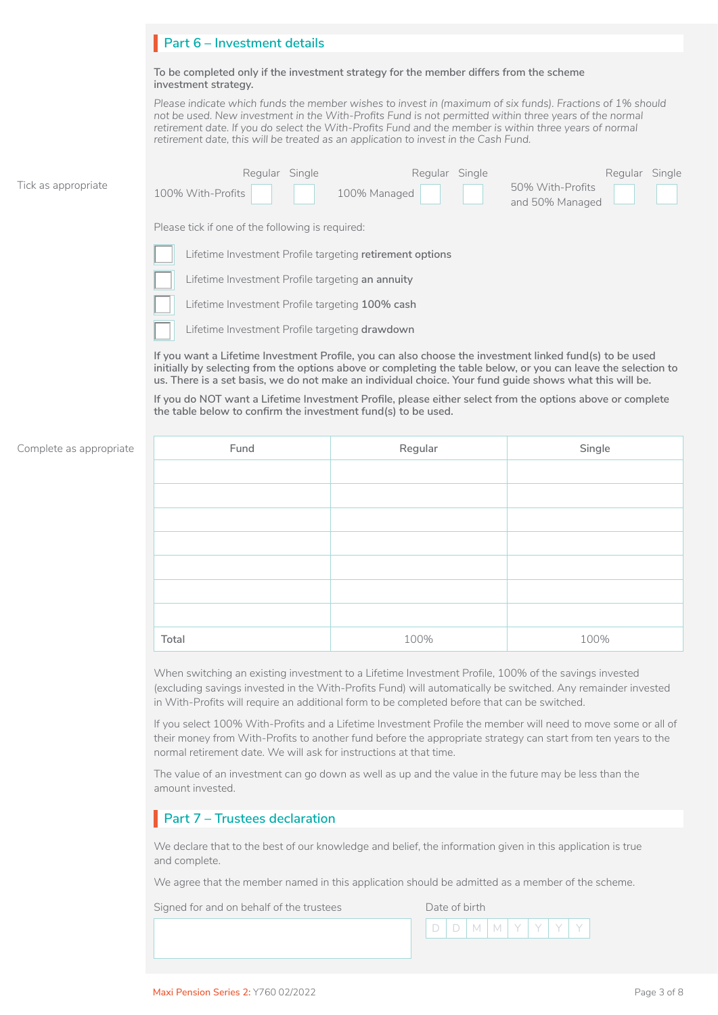|                     | Part 6 - Investment details                                                                                                                                                                                                                                                                                                                                                                                          |
|---------------------|----------------------------------------------------------------------------------------------------------------------------------------------------------------------------------------------------------------------------------------------------------------------------------------------------------------------------------------------------------------------------------------------------------------------|
|                     | To be completed only if the investment strategy for the member differs from the scheme<br>investment strategy.                                                                                                                                                                                                                                                                                                       |
|                     | Please indicate which funds the member wishes to invest in (maximum of six funds). Fractions of 1% should<br>not be used. New investment in the With-Profits Fund is not permitted within three years of the normal<br>retirement date. If you do select the With-Profits Fund and the member is within three years of normal<br>retirement date, this will be treated as an application to invest in the Cash Fund. |
| Tick as appropriate | Regular Single<br>Regular Single<br>Regular Single<br>50% With-Profits<br>100% With-Profits<br>100% Managed<br>and 50% Managed                                                                                                                                                                                                                                                                                       |
|                     | Please tick if one of the following is required:                                                                                                                                                                                                                                                                                                                                                                     |
|                     | Lifetime Investment Profile targeting retirement options                                                                                                                                                                                                                                                                                                                                                             |
|                     | Lifetime Investment Profile targeting an annuity                                                                                                                                                                                                                                                                                                                                                                     |
|                     | Lifetime Investment Profile targeting 100% cash                                                                                                                                                                                                                                                                                                                                                                      |
|                     | Lifetime Investment Profile targeting drawdown                                                                                                                                                                                                                                                                                                                                                                       |
|                     | If you want a Lifetime Investment Profile, you can also choose the investment linked fund(s) to be used<br>initially by selecting from the options above or completing the table below, or you can leave the selection to<br>us. There is a set basis, we do not make an individual choice. Your fund quide shows what this will be.                                                                                 |
|                     | If you do NOT want a Lifetime Investment Profile, please either select from the options above or complete<br>the table below to confirm the investment fund(s) to be used.                                                                                                                                                                                                                                           |

#### Complete as appropriate

| Fund  | Regular | Single |
|-------|---------|--------|
|       |         |        |
|       |         |        |
|       |         |        |
|       |         |        |
|       |         |        |
|       |         |        |
|       |         |        |
| Total | 100%    | 100%   |

When switching an existing investment to a Lifetime Investment Profile, 100% of the savings invested (excluding savings invested in the With-Profits Fund) will automatically be switched. Any remainder invested in With-Profits will require an additional form to be completed before that can be switched.

If you select 100% With-Profits and a Lifetime Investment Profile the member will need to move some or all of their money from With-Profits to another fund before the appropriate strategy can start from ten years to the normal retirement date. We will ask for instructions at that time.

The value of an investment can go down as well as up and the value in the future may be less than the amount invested.

# **Part 7 – Trustees declaration**

We declare that to the best of our knowledge and belief, the information given in this application is true and complete.

We agree that the member named in this application should be admitted as a member of the scheme.

Signed for and on behalf of the trustees Date of birth

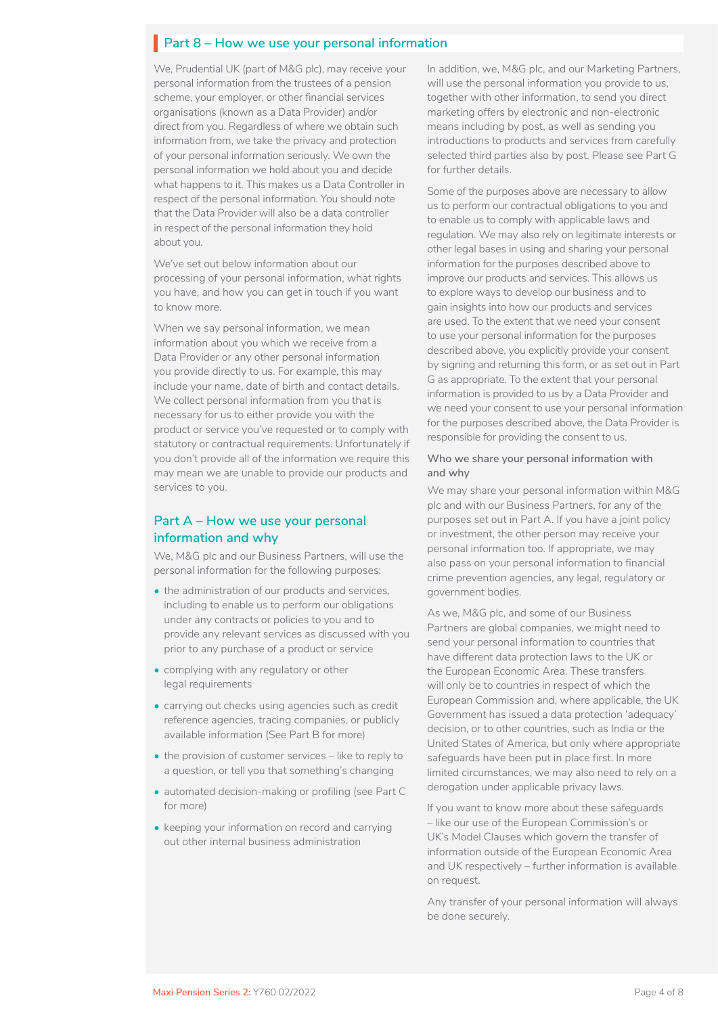# **Part 8 – How we use your personal information**

We, Prudential UK (part of M&G plc), may receive your personal information from the trustees of a pension scheme, your employer, or other financial services organisations (known as a Data Provider) and/or direct from you. Regardless of where we obtain such information from, we take the privacy and protection of your personal information seriously. We own the personal information we hold about you and decide what happens to it. This makes us a Data Controller in respect of the personal information. You should note that the Data Provider will also be a data controller in respect of the personal information they hold about you.

We've set out below information about our processing of your personal information, what rights you have, and how you can get in touch if you want to know more.

When we say personal information, we mean information about you which we receive from a Data Provider or any other personal information you provide directly to us. For example, this may include your name, date of birth and contact details. We collect personal information from you that is necessary for us to either provide you with the product or service you've requested or to comply with statutory or contractual requirements. Unfortunately if you don't provide all of the information we require this may mean we are unable to provide our products and services to you.

### **Part A – How we use your personal information and why**

We, M&G plc and our Business Partners, will use the personal information for the following purposes:

- the administration of our products and services, including to enable us to perform our obligations under any contracts or policies to you and to provide any relevant services as discussed with you prior to any purchase of a product or service
- complying with any regulatory or other legal requirements
- carrying out checks using agencies such as credit reference agencies, tracing companies, or publicly available information (See Part B for more)
- the provision of customer services like to reply to a question, or tell you that something's changing
- automated decision-making or profiling (see Part C for more)
- keeping your information on record and carrying out other internal business administration

In addition, we, M&G plc, and our Marketing Partners, will use the personal information you provide to us, together with other information, to send you direct marketing offers by electronic and non-electronic means including by post, as well as sending you introductions to products and services from carefully selected third parties also by post. Please see Part G for further details.

Some of the purposes above are necessary to allow us to perform our contractual obligations to you and to enable us to comply with applicable laws and regulation. We may also rely on legitimate interests or other legal bases in using and sharing your personal information for the purposes described above to improve our products and services. This allows us to explore ways to develop our business and to gain insights into how our products and services are used. To the extent that we need your consent to use your personal information for the purposes described above, you explicitly provide your consent by signing and returning this form, or as set out in Part G as appropriate. To the extent that your personal information is provided to us by a Data Provider and we need your consent to use your personal information for the purposes described above, the Data Provider is responsible for providing the consent to us.

#### **Who we share your personal information with and why**

We may share your personal information within M&G plc and with our Business Partners, for any of the purposes set out in Part A. If you have a joint policy or investment, the other person may receive your personal information too. If appropriate, we may also pass on your personal information to financial crime prevention agencies, any legal, regulatory or government bodies.

As we, M&G plc, and some of our Business Partners are global companies, we might need to send your personal information to countries that have different data protection laws to the UK or the European Economic Area. These transfers will only be to countries in respect of which the European Commission and, where applicable, the UK Government has issued a data protection 'adequacy' decision, or to other countries, such as India or the United States of America, but only where appropriate safeguards have been put in place first. In more limited circumstances, we may also need to rely on a derogation under applicable privacy laws.

If you want to know more about these safeguards – like our use of the European Commission's or UK's Model Clauses which govern the transfer of information outside of the European Economic Area and UK respectively – further information is available on request.

Any transfer of your personal information will always be done securely.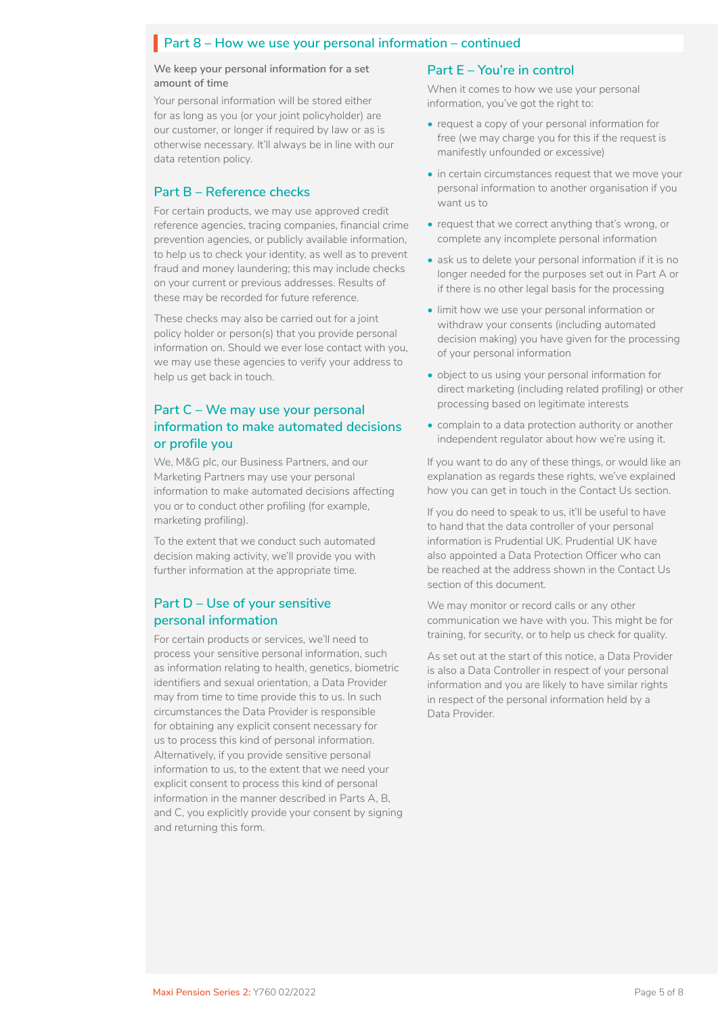# **Part 8 – How we use your personal information – continued**

**We keep your personal information for a set amount of time**

Your personal information will be stored either for as long as you (or your joint policyholder) are our customer, or longer if required by law or as is otherwise necessary. It'll always be in line with our data retention policy.

#### **Part B – Reference checks**

For certain products, we may use approved credit reference agencies, tracing companies, financial crime prevention agencies, or publicly available information, to help us to check your identity, as well as to prevent fraud and money laundering; this may include checks on your current or previous addresses. Results of these may be recorded for future reference.

These checks may also be carried out for a joint policy holder or person(s) that you provide personal information on. Should we ever lose contact with you, we may use these agencies to verify your address to help us get back in touch.

### **Part C – We may use your personal information to make automated decisions or profile you**

We, M&G plc, our Business Partners, and our Marketing Partners may use your personal information to make automated decisions affecting you or to conduct other profiling (for example, marketing profiling).

To the extent that we conduct such automated decision making activity, we'll provide you with further information at the appropriate time.

### **Part D – Use of your sensitive personal information**

For certain products or services, we'll need to process your sensitive personal information, such as information relating to health, genetics, biometric identifiers and sexual orientation, a Data Provider may from time to time provide this to us. In such circumstances the Data Provider is responsible for obtaining any explicit consent necessary for us to process this kind of personal information. Alternatively, if you provide sensitive personal information to us, to the extent that we need your explicit consent to process this kind of personal information in the manner described in Parts A, B, and C, you explicitly provide your consent by signing and returning this form.

### **Part E – You're in control**

When it comes to how we use your personal information, you've got the right to:

- request a copy of your personal information for free (we may charge you for this if the request is manifestly unfounded or excessive)
- in certain circumstances request that we move your personal information to another organisation if you want us to
- request that we correct anything that's wrong, or complete any incomplete personal information
- ask us to delete your personal information if it is no longer needed for the purposes set out in Part A or if there is no other legal basis for the processing
- limit how we use your personal information or withdraw your consents (including automated decision making) you have given for the processing of your personal information
- object to us using your personal information for direct marketing (including related profiling) or other processing based on legitimate interests
- complain to a data protection authority or another independent regulator about how we're using it.

If you want to do any of these things, or would like an explanation as regards these rights, we've explained how you can get in touch in the Contact Us section.

If you do need to speak to us, it'll be useful to have to hand that the data controller of your personal information is Prudential UK. Prudential UK have also appointed a Data Protection Officer who can be reached at the address shown in the Contact Us section of this document.

We may monitor or record calls or any other communication we have with you. This might be for training, for security, or to help us check for quality.

As set out at the start of this notice, a Data Provider is also a Data Controller in respect of your personal information and you are likely to have similar rights in respect of the personal information held by a Data Provider.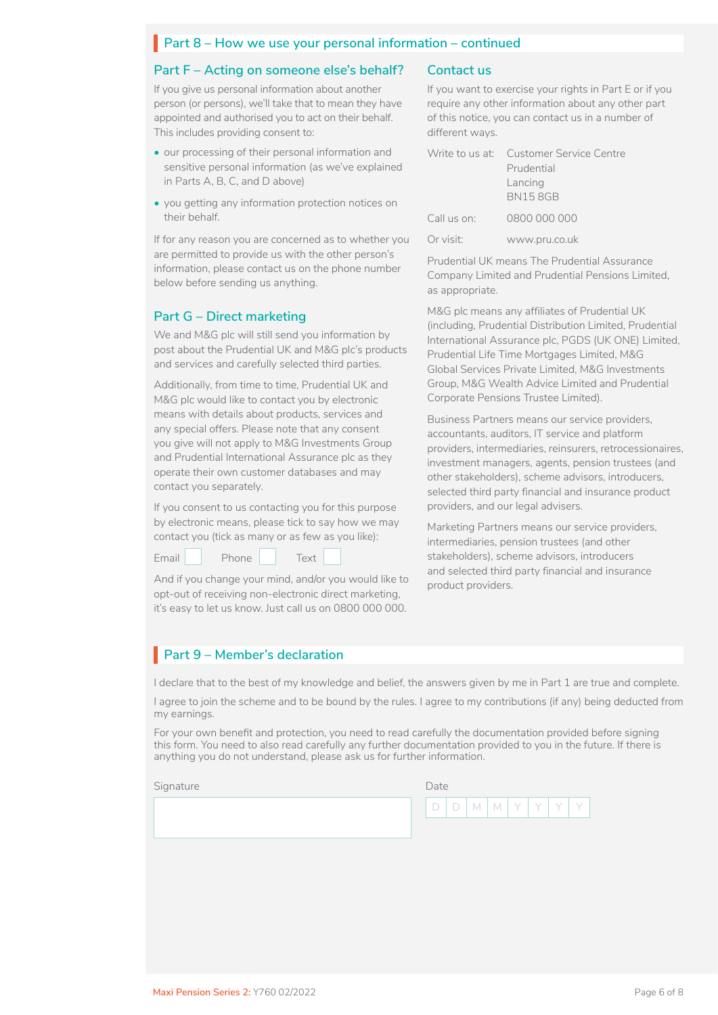# **Part 8 – How we use your personal information – continued**

#### **Part F – Acting on someone else's behalf?**

If you give us personal information about another person (or persons), we'll take that to mean they have appointed and authorised you to act on their behalf. This includes providing consent to:

- our processing of their personal information and sensitive personal information (as we've explained in Parts A, B, C, and D above)
- you getting any information protection notices on their behalf.

If for any reason you are concerned as to whether you are permitted to provide us with the other person's information, please contact us on the phone number below before sending us anything.

### **Part G – Direct marketing**

We and M&G plc will still send you information by post about the Prudential UK and M&G plc's products and services and carefully selected third parties.

Additionally, from time to time, Prudential UK and M&G plc would like to contact you by electronic means with details about products, services and any special offers. Please note that any consent you give will not apply to M&G Investments Group and Prudential International Assurance plc as they operate their own customer databases and may contact you separately.

If you consent to us contacting you for this purpose by electronic means, please tick to say how we may contact you (tick as many or as few as you like):

 $\n **Email** \n **Phone** \n **Text** \n \n \n$ 

And if you change your mind, and/or you would like to opt-out of receiving non-electronic direct marketing, it's easy to let us know. Just call us on 0800 000 000.

### **Contact us**

If you want to exercise your rights in Part E or if you require any other information about any other part of this notice, you can contact us in a number of different ways.

|             | Write to us at: Customer Service Centre<br>Prudential |
|-------------|-------------------------------------------------------|
|             | Lancing<br><b>BN158GB</b>                             |
| Call us on: | 0800 000 000                                          |
| Or visit:   | www.pru.co.uk                                         |

Prudential UK means The Prudential Assurance Company Limited and Prudential Pensions Limited, as appropriate.

M&G plc means any affiliates of Prudential UK (including, Prudential Distribution Limited, Prudential International Assurance plc, PGDS (UK ONE) Limited, Prudential Life Time Mortgages Limited, M&G Global Services Private Limited, M&G Investments Group, M&G Wealth Advice Limited and Prudential Corporate Pensions Trustee Limited).

Business Partners means our service providers, accountants, auditors, IT service and platform providers, intermediaries, reinsurers, retrocessionaires, investment managers, agents, pension trustees (and other stakeholders), scheme advisors, introducers, selected third party financial and insurance product providers, and our legal advisers.

Marketing Partners means our service providers, intermediaries, pension trustees (and other stakeholders), scheme advisors, introducers and selected third party financial and insurance product providers.

# **Part 9 – Member's declaration**

I declare that to the best of my knowledge and belief, the answers given by me in Part 1 are true and complete.

I agree to join the scheme and to be bound by the rules. I agree to my contributions (if any) being deducted from my earnings.

For your own benefit and protection, you need to read carefully the documentation provided before signing this form. You need to also read carefully any further documentation provided to you in the future. If there is anything you do not understand, please ask us for further information.

Signature Date Date Communications and Date Date

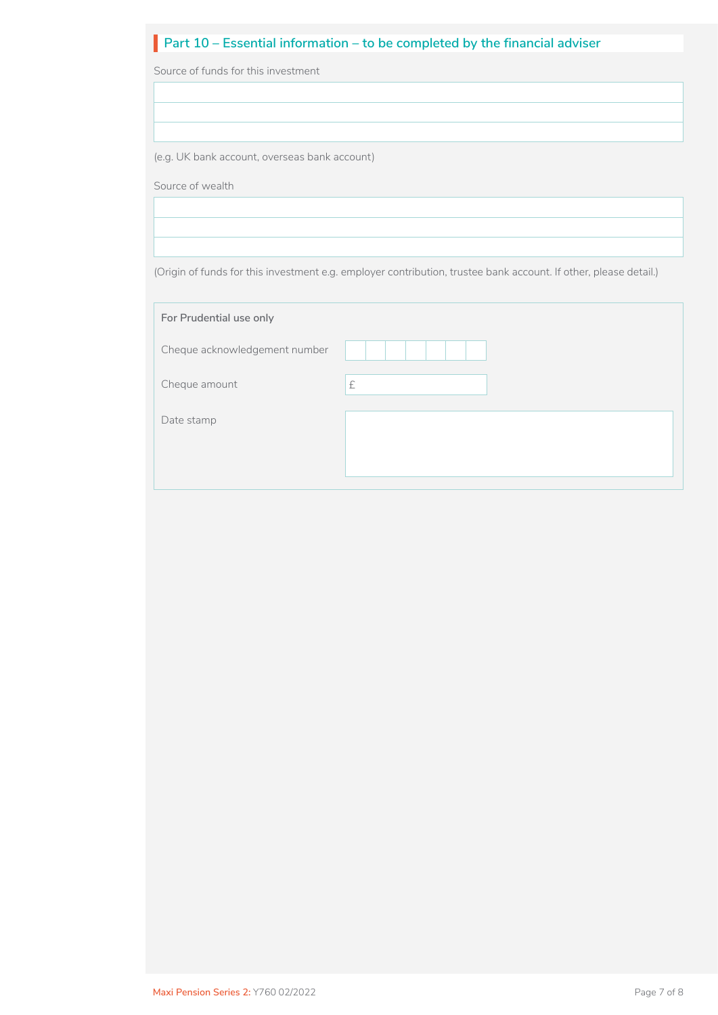# **Part 10 – Essential information – to be completed by the financial adviser**

Source of funds for this investment

(e.g. UK bank account, overseas bank account)

Source of wealth

(Origin of funds for this investment e.g. employer contribution, trustee bank account. If other, please detail.)

| For Prudential use only       |   |
|-------------------------------|---|
| Cheque acknowledgement number |   |
| Cheque amount                 | £ |
| Date stamp                    |   |
|                               |   |